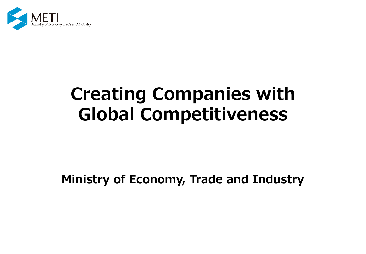

# **Creating Companies with Global Competitiveness**

**Ministry of Economy, Trade and Industry**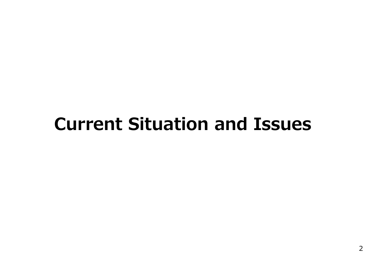# **Current Situation and Issues**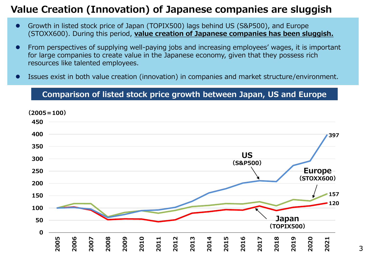# **Value Creation (Innovation) of Japanese companies are sluggish**

- Growth in listed stock price of Japan (TOPIX500) lags behind US (S&P500), and Europe (STOXX600). During this period, **value creation of Japanese companies has been sluggish.**
- From perspectives of supplying well-paying jobs and increasing employees' wages, it is important for large companies to create value in the Japanese economy, given that they possess rich resources like talented employees.
- ⚫ Issues exist in both value creation (innovation) in companies and market structure/environment.

### **Comparison of listed stock price growth between Japan, US and Europe**

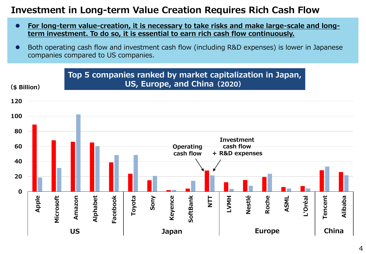## **Investment in Long-term Value Creation Requires Rich Cash Flow**

- For long-term value-creation, it is necessary to take risks and make large-scale and long**term investment. To do so, it is essential to earn rich cash flow continuously.**
- Both operating cash flow and investment cash flow (including R&D expenses) is lower in Japanese companies compared to US companies.

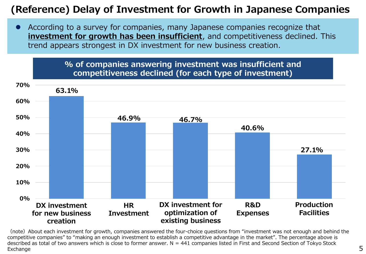# **(Reference) Delay of Investment for Growth in Japanese Companies**

● According to a survey for companies, many Japanese companies recognize that **investment for growth has been insufficient**, and competitiveness declined. This trend appears strongest in DX investment for new business creation.



(note) About each investment for growth, companies answered the four-choice questions from "investment was not enough and behind the competitive companies" to "making an enough investment to establish a competitive advantage in the market". The percentage above is described as total of two answers which is close to former answer.  $N = 441$  companies listed in First and Second Section of Tokyo Stock Exchange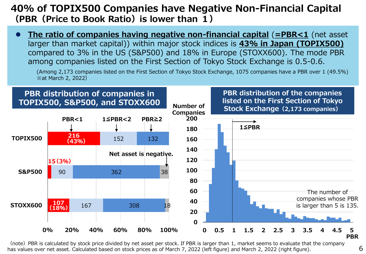# **40% of TOPIX500 Companies have Negative Non-Financial Capital (PBR(Price to Book Ratio)is lower than 1)**

**The ratio of companies having negative non-financial capital (=PBR<1** (net asset larger than market capital)) within major stock indices is **43% in Japan (TOPIX500)** compared to 3% in the US (S&P500) and 18% in Europe (STOXX600). The mode PBR among companies listed on the First Section of Tokyo Stock Exchange is 0.5-0.6.

(Among 2,173 companies listed on the First Section of Tokyo Stock Exchange, 1075 companies have a PBR over 1 (49.5%) ※at March 2, 2022)



(note) PBR is calculated by stock price divided by net asset per stock. If PBR is larger than 1, market seems to evaluate that the company has values over net asset. Calculated based on stock prices as of March 7, 2022 (left figure) and March 2, 2022 (right figure).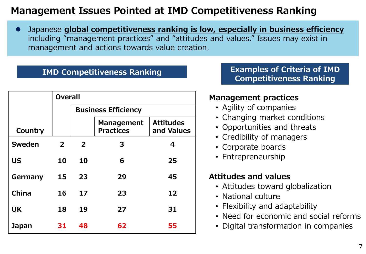# **Management Issues Pointed at IMD Competitiveness Ranking**

⚫ Japanese **global competitiveness ranking is low, especially in business efficiency**  including "management practices" and "attitudes and values." Issues may exist in management and actions towards value creation.

|              | <b>Overall</b> |                            |                                       |                                |
|--------------|----------------|----------------------------|---------------------------------------|--------------------------------|
|              |                | <b>Business Efficiency</b> |                                       |                                |
| Country      |                |                            | <b>Management</b><br><b>Practices</b> | <b>Attitudes</b><br>and Values |
| Sweden       | $\overline{2}$ | $\overline{2}$             | 3                                     | 4                              |
| <b>US</b>    | 10             | 10                         | 6                                     | 25                             |
| Germany      | 15             | 23                         | 29                                    | 45                             |
| China        | 16             | 17                         | 23                                    | 12                             |
| <b>UK</b>    | 18             | 19                         | 27                                    | 31                             |
| <b>Japan</b> | 31             | 48                         | 62                                    | 55                             |

**IMD Competitiveness Ranking Examples of Criteria of IMD Competitiveness Ranking**

### **Management practices**

- Agility of companies
- Changing market conditions
- Opportunities and threats
- Credibility of managers
- Corporate boards
- Entrepreneurship

### **Attitudes and values**

- Attitudes toward globalization
- National culture
- Flexibility and adaptability
- Need for economic and social reforms
- Digital transformation in companies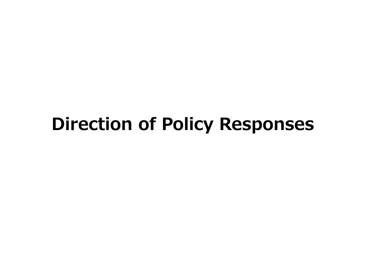# **Direction of Policy Responses**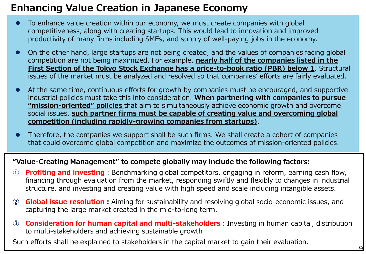# **Enhancing Value Creation in Japanese Economy**

- To enhance value creation within our economy, we must create companies with global competitiveness, along with creating startups. This would lead to innovation and improved productivity of many firms including SMEs, and supply of well-paying jobs in the economy.
- ⚫ On the other hand, large startups are not being created, and the values of companies facing global competition are not being maximized. For example, **nearly half of the companies listed in the First Section of the Tokyo Stock Exchange has a price-to-book ratio (PBR) below 1.** Structural issues of the market must be analyzed and resolved so that companies' efforts are fairly evaluated.
- ⚫ At the same time, continuous efforts for growth by companies must be encouraged, and supportive industrial policies must take this into consideration. **When partnering with companies to pursue "mission-oriented" policies** that aim to simultaneously achieve economic growth and overcome social issues, **such partner firms must be capable of creating value and overcoming global competition (including rapidly-growing companies from startups)**.
- Therefore, the companies we support shall be such firms. We shall create a cohort of companies that could overcome global competition and maximize the outcomes of mission-oriented policies.

### **"Value-Creating Management" to compete globally may include the following factors:**

- **1 Profiting and investing**: Benchmarking global competitors, engaging in reform, earning cash flow, financing through evaluation from the market, responding swiftly and flexibly to changes in industrial structure, and investing and creating value with high speed and scale including intangible assets.
- **② Global issue resolution:**Aiming for sustainability and resolving global socio-economic issues, and capturing the large market created in the mid-to-long term.
- **③ Consideration for human capital and multi-stakeholders**:Investing in human capital, distribution to multi-stakeholders and achieving sustainable growth

Such efforts shall be explained to stakeholders in the capital market to gain their evaluation.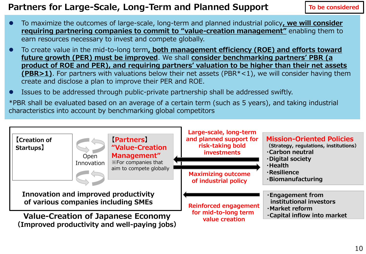## **Partners for Large-Scale, Long-Term and Planned Support**

**To be considered**

- To maximize the outcomes of large-scale, long-term and planned industrial policy, we will consider **requiring partnering companies to commit to "value-creation management"** enabling them to earn resources necessary to invest and compete globally.
- ⚫ To create value in the mid-to-long term**, both management efficiency (ROE) and efforts toward future growth (PER) must be improved**. We shall **consider benchmarking partners' PBR (a product of ROE and PER), and requiring partners' valuation to be higher than their net assets (PBR>1)**. For partners with valuations below their net assets (PBR<sup>\*</sup><1), we will consider having them create and disclose a plan to improve their PER and ROE.
- ⚫ Issues to be addressed through public-private partnership shall be addressed swiftly.

\*PBR shall be evaluated based on an average of a certain term (such as 5 years), and taking industrial characteristics into account by benchmarking global competitors